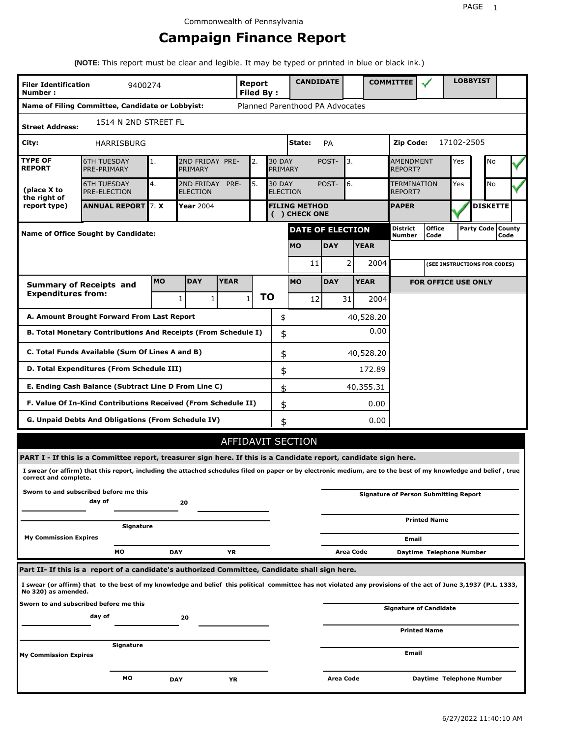# **Campaign Finance Report**

**(NOTE:** This report must be clear and legible. It may be typed or printed in blue or black ink.)

| <b>Filer Identification</b><br>Number: | 9400274                                                                                                                                                         |           |                 |                                                                       | <b>Report</b><br>Filed By: |    | <b>CANDIDATE</b>                     |                  |                                    | <b>COMMITTEE</b>                 |                                              |            | <b>LOBBYIST</b>              |                             |
|----------------------------------------|-----------------------------------------------------------------------------------------------------------------------------------------------------------------|-----------|-----------------|-----------------------------------------------------------------------|----------------------------|----|--------------------------------------|------------------|------------------------------------|----------------------------------|----------------------------------------------|------------|------------------------------|-----------------------------|
|                                        | Name of Filing Committee, Candidate or Lobbyist:                                                                                                                |           |                 |                                                                       |                            |    | Planned Parenthood PA Advocates      |                  |                                    |                                  |                                              |            |                              |                             |
| <b>Street Address:</b>                 | 1514 N 2ND STREET FL                                                                                                                                            |           |                 |                                                                       |                            |    |                                      |                  |                                    |                                  |                                              |            |                              |                             |
| City:                                  | HARRISBURG                                                                                                                                                      |           |                 |                                                                       |                            |    | State:                               | PA               |                                    | Zip Code:                        |                                              | 17102-2505 |                              |                             |
| <b>TYPE OF</b><br><b>REPORT</b>        | <b>6TH TUESDAY</b><br>PRE-PRIMARY                                                                                                                               | 1.        | PRIMARY         | 2ND FRIDAY PRE-<br><b>30 DAY</b><br>POST-<br>2.<br>PRIMARY            |                            |    |                                      | 3.               | <b>AMENDMENT</b><br><b>REPORT?</b> |                                  | Yes                                          | No         |                              |                             |
| (place X to<br>the right of            | <b>6TH TUESDAY</b><br><b>PRE-ELECTION</b>                                                                                                                       | 4.        | <b>ELECTION</b> | 2ND FRIDAY<br>PRE-<br>5.<br><b>30 DAY</b><br>POST-<br><b>ELECTION</b> |                            |    |                                      |                  | 6.<br>TERMINATION<br>REPORT?       |                                  |                                              | Yes        | No                           |                             |
| report type)                           | <b>ANNUAL REPORT 7. X</b>                                                                                                                                       |           | Year 2004       |                                                                       |                            |    | <b>FILING METHOD</b><br>() CHECK ONE |                  |                                    | <b>PAPER</b>                     |                                              |            | <b>DISKETTE</b>              |                             |
|                                        | Name of Office Sought by Candidate:                                                                                                                             |           |                 |                                                                       |                            |    | <b>DATE OF ELECTION</b>              |                  |                                    | <b>District</b><br><b>Number</b> | <b>Office</b><br>Code                        |            |                              | Party Code   County<br>Code |
|                                        |                                                                                                                                                                 |           |                 |                                                                       |                            |    | <b>MO</b>                            | <b>DAY</b>       | <b>YEAR</b>                        |                                  |                                              |            |                              |                             |
|                                        |                                                                                                                                                                 |           |                 |                                                                       |                            |    | 11                                   | 2                | 2004                               |                                  |                                              |            | (SEE INSTRUCTIONS FOR CODES) |                             |
|                                        | <b>Summary of Receipts and</b>                                                                                                                                  | <b>MO</b> | <b>DAY</b>      | <b>YEAR</b>                                                           |                            |    | <b>MO</b>                            | <b>DAY</b>       | <b>YEAR</b>                        |                                  | <b>FOR OFFICE USE ONLY</b>                   |            |                              |                             |
| <b>Expenditures from:</b>              |                                                                                                                                                                 |           | 1               | 1                                                                     | $\mathbf{1}$               | ΤO | 12                                   | 31               | 2004                               |                                  |                                              |            |                              |                             |
|                                        | A. Amount Brought Forward From Last Report                                                                                                                      |           |                 |                                                                       |                            | \$ |                                      |                  | 40,528.20                          |                                  |                                              |            |                              |                             |
|                                        | B. Total Monetary Contributions And Receipts (From Schedule I)                                                                                                  |           |                 |                                                                       |                            | \$ |                                      |                  | 0.00                               |                                  |                                              |            |                              |                             |
|                                        | C. Total Funds Available (Sum Of Lines A and B)                                                                                                                 |           |                 |                                                                       |                            | \$ |                                      |                  | 40,528.20                          |                                  |                                              |            |                              |                             |
|                                        | D. Total Expenditures (From Schedule III)                                                                                                                       |           |                 |                                                                       |                            | \$ |                                      |                  | 172.89                             |                                  |                                              |            |                              |                             |
|                                        | E. Ending Cash Balance (Subtract Line D From Line C)                                                                                                            |           |                 |                                                                       |                            | \$ |                                      |                  | 40,355.31                          |                                  |                                              |            |                              |                             |
|                                        | F. Value Of In-Kind Contributions Received (From Schedule II)                                                                                                   |           |                 |                                                                       |                            | \$ |                                      |                  | 0.00                               |                                  |                                              |            |                              |                             |
|                                        | <b>G. Unpaid Debts And Obligations (From Schedule IV)</b>                                                                                                       |           |                 |                                                                       |                            | \$ |                                      |                  | 0.00                               |                                  |                                              |            |                              |                             |
|                                        |                                                                                                                                                                 |           |                 |                                                                       |                            |    | <b>AFFIDAVIT SECTION</b>             |                  |                                    |                                  |                                              |            |                              |                             |
|                                        | PART I - If this is a Committee report, treasurer sign here. If this is a Candidate report, candidate sign here.                                                |           |                 |                                                                       |                            |    |                                      |                  |                                    |                                  |                                              |            |                              |                             |
| correct and complete.                  | I swear (or affirm) that this report, including the attached schedules filed on paper or by electronic medium, are to the best of my knowledge and belief, true |           |                 |                                                                       |                            |    |                                      |                  |                                    |                                  |                                              |            |                              |                             |
|                                        | Sworn to and subscribed before me this<br>day of                                                                                                                |           | 20              |                                                                       |                            |    |                                      |                  |                                    |                                  | <b>Signature of Person Submitting Report</b> |            |                              |                             |
|                                        | Signature                                                                                                                                                       |           |                 |                                                                       |                            |    |                                      |                  |                                    |                                  | <b>Printed Name</b>                          |            |                              |                             |
| <b>My Commission Expires</b>           |                                                                                                                                                                 |           |                 |                                                                       |                            |    |                                      |                  |                                    | Email                            |                                              |            |                              |                             |
|                                        | МO                                                                                                                                                              |           | <b>DAY</b>      | YR                                                                    |                            |    |                                      |                  | Area Code                          |                                  | Daytime Telephone Number                     |            |                              |                             |
|                                        | Part II- If this is a report of a candidate's authorized Committee, Candidate shall sign here.                                                                  |           |                 |                                                                       |                            |    |                                      |                  |                                    |                                  |                                              |            |                              |                             |
| No 320) as amended.                    | I swear (or affirm) that to the best of my knowledge and belief this political committee has not violated any provisions of the act of June 3,1937 (P.L. 1333,  |           |                 |                                                                       |                            |    |                                      |                  |                                    |                                  |                                              |            |                              |                             |
|                                        | Sworn to and subscribed before me this<br>day of                                                                                                                |           | 20              |                                                                       |                            |    |                                      |                  |                                    |                                  | <b>Signature of Candidate</b>                |            |                              |                             |
|                                        |                                                                                                                                                                 |           |                 |                                                                       |                            |    |                                      |                  |                                    |                                  | <b>Printed Name</b>                          |            |                              |                             |
| My Commission Expires                  | Signature                                                                                                                                                       |           |                 |                                                                       |                            |    |                                      |                  |                                    | Email                            |                                              |            |                              |                             |
|                                        | МO                                                                                                                                                              |           | <b>DAY</b>      | YR                                                                    |                            |    |                                      | <b>Area Code</b> |                                    |                                  | Daytime Telephone Number                     |            |                              |                             |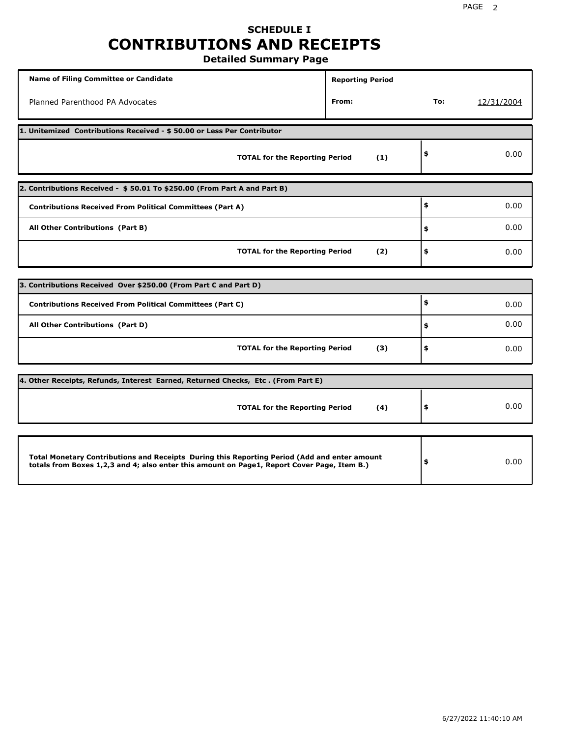# **SCHEDULE I CONTRIBUTIONS AND RECEIPTS**

**Detailed Summary Page**

| <b>Name of Filing Committee or Candidate</b>                                                                                                                                                | <b>Reporting Period</b> |      |            |
|---------------------------------------------------------------------------------------------------------------------------------------------------------------------------------------------|-------------------------|------|------------|
| Planned Parenthood PA Advocates                                                                                                                                                             | From:                   | To:  | 12/31/2004 |
| 1. Unitemized Contributions Received - \$50.00 or Less Per Contributor                                                                                                                      |                         |      |            |
| <b>TOTAL for the Reporting Period</b>                                                                                                                                                       | (1)                     | \$   | 0.00       |
| 2. Contributions Received - \$50.01 To \$250.00 (From Part A and Part B)                                                                                                                    |                         |      |            |
| <b>Contributions Received From Political Committees (Part A)</b>                                                                                                                            |                         | \$   | 0.00       |
| All Other Contributions (Part B)                                                                                                                                                            | \$                      | 0.00 |            |
| <b>TOTAL for the Reporting Period</b>                                                                                                                                                       | \$                      | 0.00 |            |
|                                                                                                                                                                                             |                         |      |            |
| 3. Contributions Received Over \$250.00 (From Part C and Part D)                                                                                                                            |                         |      |            |
| <b>Contributions Received From Political Committees (Part C)</b>                                                                                                                            |                         | \$   | 0.00       |
| All Other Contributions (Part D)                                                                                                                                                            |                         | \$   | 0.00       |
| <b>TOTAL for the Reporting Period</b>                                                                                                                                                       | (3)                     | \$   | 0.00       |
| 4. Other Receipts, Refunds, Interest Earned, Returned Checks, Etc. (From Part E)                                                                                                            |                         |      |            |
| <b>TOTAL for the Reporting Period</b>                                                                                                                                                       | (4)                     | \$   | 0.00       |
|                                                                                                                                                                                             |                         |      |            |
| Total Monetary Contributions and Receipts During this Reporting Period (Add and enter amount<br>totals from Boxes 1,2,3 and 4; also enter this amount on Page1, Report Cover Page, Item B.) |                         | \$   | 0.00       |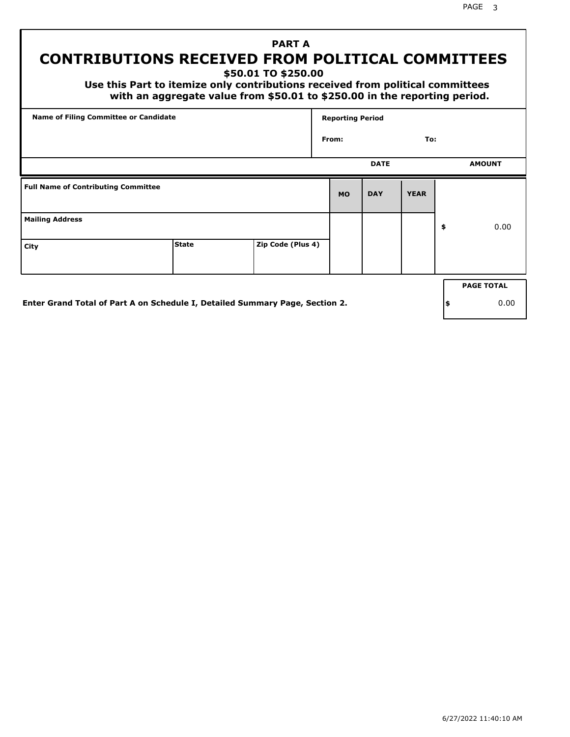PAGE 3

# **PART A CONTRIBUTIONS RECEIVED FROM POLITICAL COMMITTEES**

**\$50.01 TO \$250.00**

 **Use this Part to itemize only contributions received from political committees with an aggregate value from \$50.01 to \$250.00 in the reporting period.**

| Name of Filing Committee or Candidate      | <b>Reporting Period</b> |                   |           |             |             |    |                   |
|--------------------------------------------|-------------------------|-------------------|-----------|-------------|-------------|----|-------------------|
|                                            |                         |                   | From:     |             | To:         |    |                   |
|                                            |                         |                   |           | <b>DATE</b> |             |    | <b>AMOUNT</b>     |
| <b>Full Name of Contributing Committee</b> |                         |                   | <b>MO</b> | <b>DAY</b>  | <b>YEAR</b> |    |                   |
| <b>Mailing Address</b>                     |                         |                   |           |             |             | \$ | 0.00              |
| City                                       | <b>State</b>            | Zip Code (Plus 4) |           |             |             |    |                   |
|                                            |                         |                   |           |             |             |    | <b>PAGE TOTAL</b> |
|                                            |                         |                   |           |             |             |    |                   |

**Enter Grand Total of Part A on Schedule I, Detailed Summary Page, Section 2.**

**\$** 0.00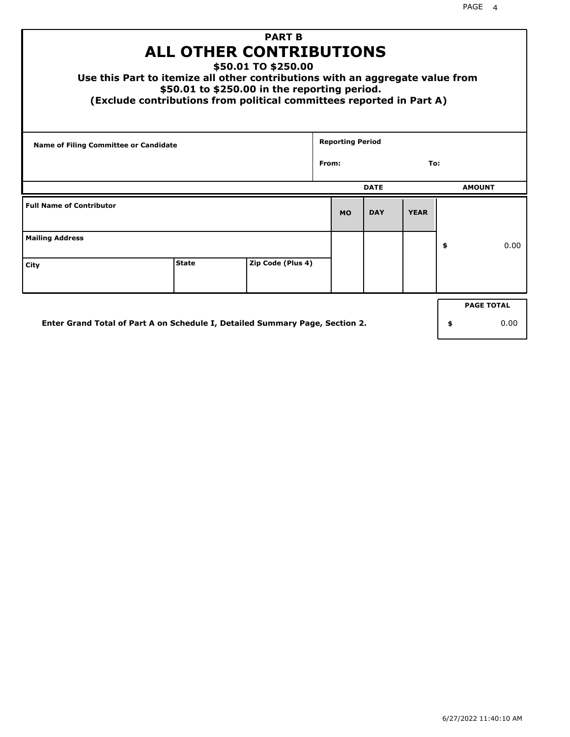| Use this Part to itemize all other contributions with an aggregate value from<br>(Exclude contributions from political committees reported in Part A) | ALL OTHER CONTRIBUTIONS<br>\$50.01 to \$250.00 in the reporting period. | <b>PART B</b><br>\$50.01 TO \$250.00 |       |                         |             |             |                   |
|-------------------------------------------------------------------------------------------------------------------------------------------------------|-------------------------------------------------------------------------|--------------------------------------|-------|-------------------------|-------------|-------------|-------------------|
| <b>Name of Filing Committee or Candidate</b>                                                                                                          |                                                                         |                                      |       | <b>Reporting Period</b> |             |             |                   |
|                                                                                                                                                       |                                                                         |                                      | From: |                         |             | To:         |                   |
|                                                                                                                                                       |                                                                         |                                      |       |                         | <b>DATE</b> |             | <b>AMOUNT</b>     |
| <b>Full Name of Contributor</b>                                                                                                                       |                                                                         |                                      |       | <b>MO</b>               | <b>DAY</b>  | <b>YEAR</b> |                   |
| <b>Mailing Address</b>                                                                                                                                |                                                                         |                                      |       |                         |             |             | \$<br>0.00        |
| City                                                                                                                                                  | <b>State</b>                                                            | Zip Code (Plus 4)                    |       |                         |             |             |                   |
|                                                                                                                                                       |                                                                         |                                      |       |                         |             |             | <b>PAGE TOTAL</b> |
| Enter Grand Total of Part A on Schedule I, Detailed Summary Page, Section 2.                                                                          |                                                                         |                                      |       |                         |             |             | \$<br>0.00        |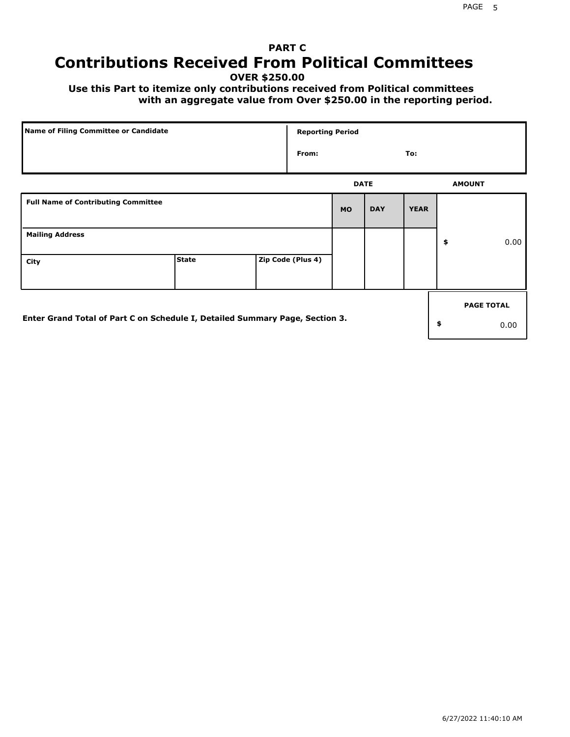# **PART C Contributions Received From Political Committees**

**OVER \$250.00**

 **Use this Part to itemize only contributions received from Political committees with an aggregate value from Over \$250.00 in the reporting period.**

| Name of Filing Committee or Candidate                                        |              |  | <b>Reporting Period</b> |             |            |             |    |                   |
|------------------------------------------------------------------------------|--------------|--|-------------------------|-------------|------------|-------------|----|-------------------|
|                                                                              |              |  | From:                   |             |            | To:         |    |                   |
|                                                                              |              |  |                         | <b>DATE</b> |            |             |    | <b>AMOUNT</b>     |
| <b>Full Name of Contributing Committee</b>                                   |              |  |                         | <b>MO</b>   | <b>DAY</b> | <b>YEAR</b> |    |                   |
| <b>Mailing Address</b>                                                       |              |  |                         |             |            |             | \$ | 0.00              |
| City                                                                         | <b>State</b> |  | Zip Code (Plus 4)       |             |            |             |    |                   |
|                                                                              |              |  |                         |             |            |             |    | <b>PAGE TOTAL</b> |
| Enter Grand Total of Part C on Schedule I, Detailed Summary Page, Section 3. |              |  |                         |             |            |             | \$ | 0.00              |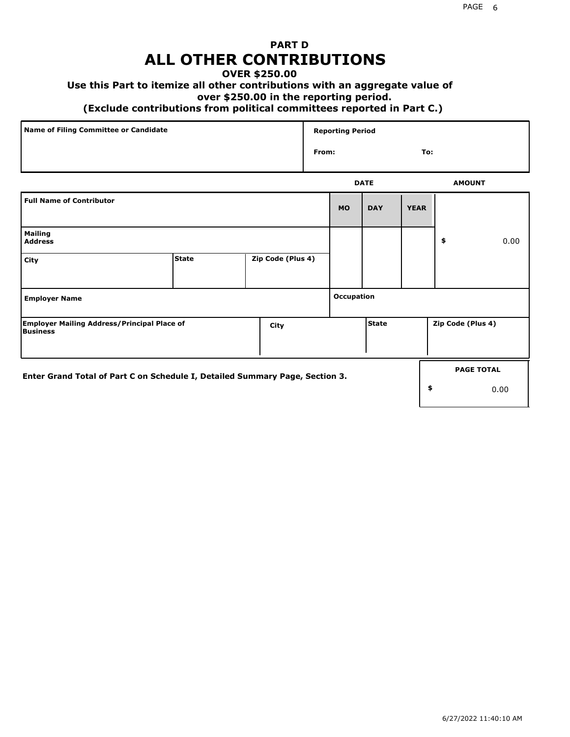# **PART D ALL OTHER CONTRIBUTIONS**

### **OVER \$250.00**

## **Use this Part to itemize all other contributions with an aggregate value of**

#### **over \$250.00 in the reporting period.**

#### **(Exclude contributions from political committees reported in Part C.)**

| Name of Filing Committee or Candidate | <b>Reporting Period</b> |               |
|---------------------------------------|-------------------------|---------------|
|                                       | From:                   | To:           |
|                                       | <b>DATE</b>             | <b>AMOUNT</b> |

|                                                                              |              |                   |            | ----         |             |                   | <b>APPOIT</b>     |
|------------------------------------------------------------------------------|--------------|-------------------|------------|--------------|-------------|-------------------|-------------------|
| <b>Full Name of Contributor</b>                                              |              |                   | <b>MO</b>  | <b>DAY</b>   | <b>YEAR</b> |                   |                   |
| <b>Mailing</b><br><b>Address</b>                                             |              |                   |            |              |             | \$                | 0.00              |
| City                                                                         | <b>State</b> | Zip Code (Plus 4) |            |              |             |                   |                   |
| <b>Employer Name</b>                                                         |              |                   | Occupation |              |             |                   |                   |
| <b>Employer Mailing Address/Principal Place of</b><br>Business               |              | City              |            | <b>State</b> |             | Zip Code (Plus 4) |                   |
| Enter Grand Total of Part C on Schedule I, Detailed Summary Page, Section 3. |              |                   |            |              |             |                   | <b>PAGE TOTAL</b> |
|                                                                              |              |                   |            |              |             | \$                | 0.00              |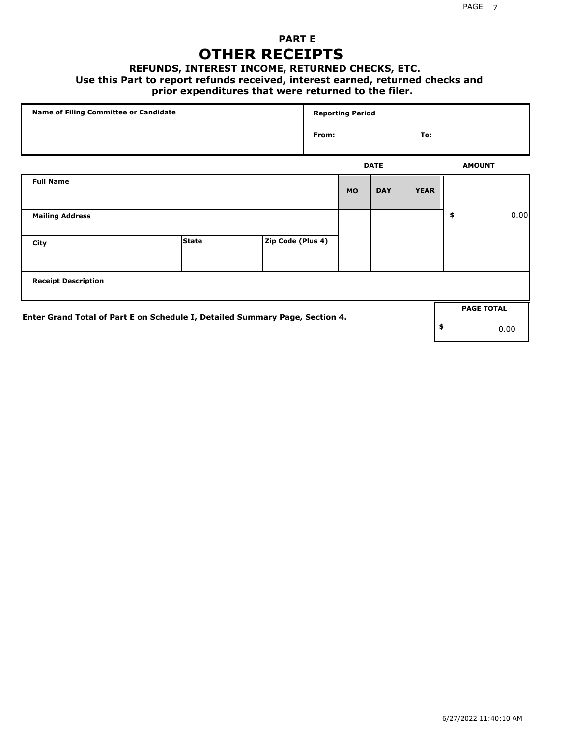## **PART E OTHER RECEIPTS**

#### **REFUNDS, INTEREST INCOME, RETURNED CHECKS, ETC.**

 **Use this Part to report refunds received, interest earned, returned checks and**

## **prior expenditures that were returned to the filer.**

| Name of Filing Committee or Candidate                                        |              |                   |       | <b>Reporting Period</b> |             |             |    |                   |      |
|------------------------------------------------------------------------------|--------------|-------------------|-------|-------------------------|-------------|-------------|----|-------------------|------|
|                                                                              |              |                   | From: |                         |             | To:         |    |                   |      |
|                                                                              |              |                   |       |                         | <b>DATE</b> |             |    | <b>AMOUNT</b>     |      |
| <b>Full Name</b>                                                             |              |                   |       | <b>MO</b>               | <b>DAY</b>  | <b>YEAR</b> |    |                   |      |
| <b>Mailing Address</b>                                                       |              |                   |       |                         |             |             | \$ |                   | 0.00 |
| City                                                                         | <b>State</b> | Zip Code (Plus 4) |       |                         |             |             |    |                   |      |
| <b>Receipt Description</b>                                                   |              |                   |       |                         |             |             |    |                   |      |
|                                                                              |              |                   |       |                         |             |             |    | <b>PAGE TOTAL</b> |      |
| Enter Grand Total of Part E on Schedule I, Detailed Summary Page, Section 4. |              |                   |       |                         |             |             | \$ |                   | 0.00 |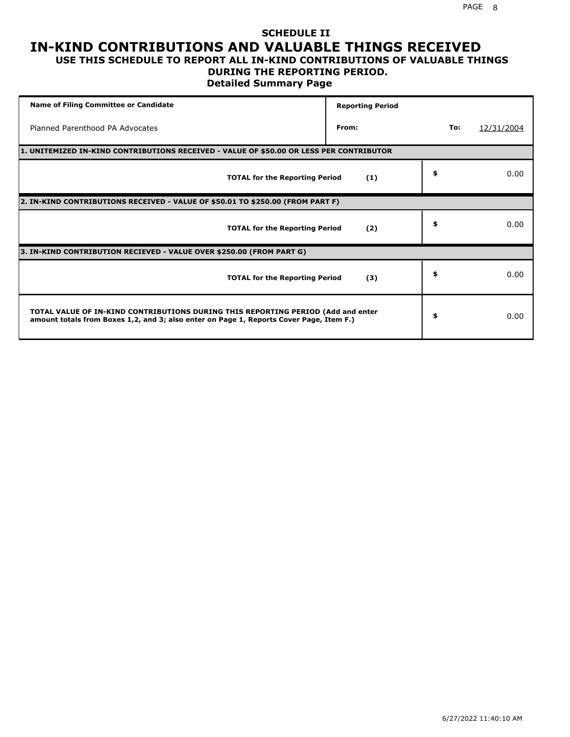#### **SCHEDULE II IN-KIND CONTRIBUTIONS AND VALUABLE THINGS RECEIVED USE THIS SCHEDULE TO REPORT ALL IN-KIND CONTRIBUTIONS OF VALUABLE THINGS**

#### **DURING THE REPORTING PERIOD.**

**Detailed Summary Page**

| <b>Name of Filing Committee or Candidate</b>                                                                                                                                | <b>Reporting Period</b> |     |            |
|-----------------------------------------------------------------------------------------------------------------------------------------------------------------------------|-------------------------|-----|------------|
| Planned Parenthood PA Advocates                                                                                                                                             | From:                   | To: | 12/31/2004 |
| 1. UNITEMIZED IN-KIND CONTRIBUTIONS RECEIVED - VALUE OF \$50.00 OR LESS PER CONTRIBUTOR                                                                                     |                         |     |            |
| <b>TOTAL for the Reporting Period</b>                                                                                                                                       | (1)                     | \$  | 0.00       |
| 2. IN-KIND CONTRIBUTIONS RECEIVED - VALUE OF \$50.01 TO \$250.00 (FROM PART F)                                                                                              |                         |     |            |
| <b>TOTAL for the Reporting Period</b>                                                                                                                                       | (2)                     | \$  | 0.00       |
| 3. IN-KIND CONTRIBUTION RECIEVED - VALUE OVER \$250.00 (FROM PART G)                                                                                                        |                         |     |            |
| <b>TOTAL for the Reporting Period</b>                                                                                                                                       | (3)                     | \$  | 0.00       |
| TOTAL VALUE OF IN-KIND CONTRIBUTIONS DURING THIS REPORTING PERIOD (Add and enter<br>amount totals from Boxes 1,2, and 3; also enter on Page 1, Reports Cover Page, Item F.) |                         | \$  | 0.00       |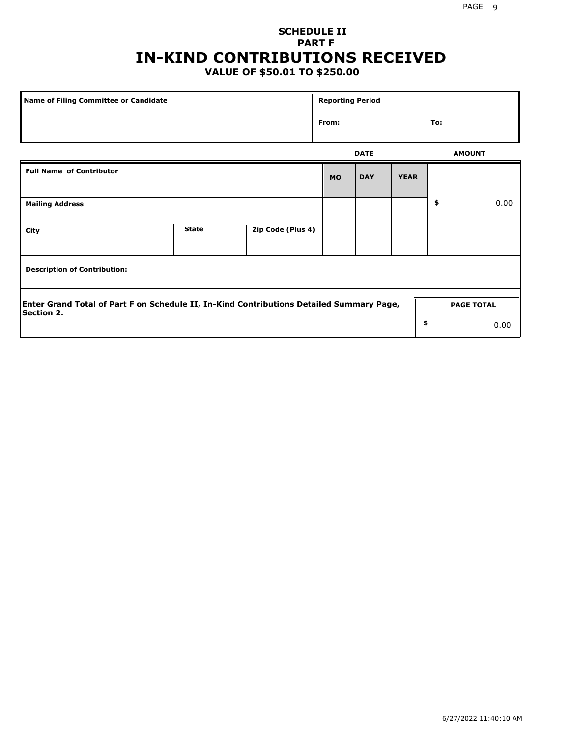# **SCHEDULE II PART F IN-KIND CONTRIBUTIONS RECEIVED**

## **VALUE OF \$50.01 TO \$250.00**

| Name of Filing Committee or Candidate                                                                         | <b>Reporting Period</b> |                   |           |             |             |                   |      |
|---------------------------------------------------------------------------------------------------------------|-------------------------|-------------------|-----------|-------------|-------------|-------------------|------|
|                                                                                                               |                         |                   | From:     |             |             | To:               |      |
|                                                                                                               |                         |                   |           | <b>DATE</b> |             | <b>AMOUNT</b>     |      |
| <b>Full Name of Contributor</b>                                                                               |                         |                   | <b>MO</b> | <b>DAY</b>  | <b>YEAR</b> |                   |      |
| <b>Mailing Address</b>                                                                                        |                         |                   |           |             |             | \$                | 0.00 |
| City                                                                                                          | <b>State</b>            | Zip Code (Plus 4) |           |             |             |                   |      |
| <b>Description of Contribution:</b>                                                                           |                         |                   |           |             |             |                   |      |
| Enter Grand Total of Part F on Schedule II, In-Kind Contributions Detailed Summary Page,<br><b>Section 2.</b> |                         |                   |           |             |             | <b>PAGE TOTAL</b> |      |
|                                                                                                               |                         |                   |           |             | \$          |                   | 0.00 |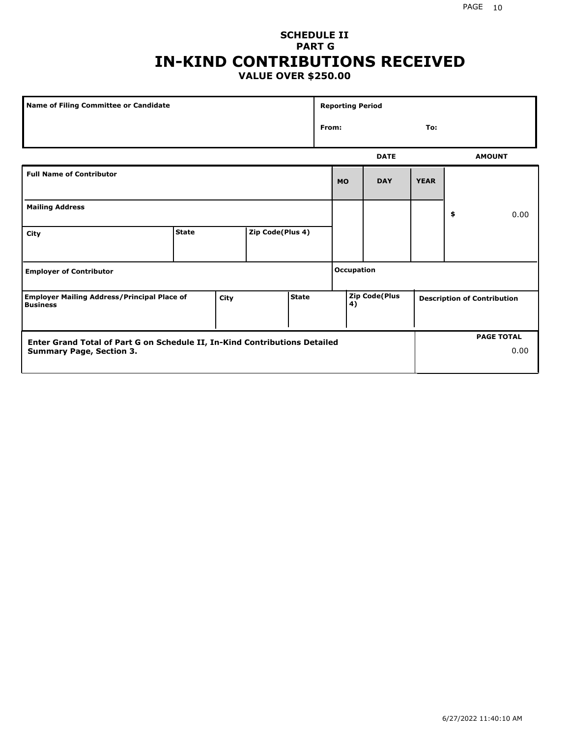## **SCHEDULE II PART G IN-KIND CONTRIBUTIONS RECEIVED VALUE OVER \$250.00**

| Name of Filing Committee or Candidate                                                         |              |  |                  |  | <b>Reporting Period</b> |              |                      |             |    |                                    |
|-----------------------------------------------------------------------------------------------|--------------|--|------------------|--|-------------------------|--------------|----------------------|-------------|----|------------------------------------|
|                                                                                               |              |  |                  |  |                         | From:<br>To: |                      |             |    |                                    |
|                                                                                               |              |  |                  |  |                         |              | <b>DATE</b>          |             |    | <b>AMOUNT</b>                      |
| <b>Full Name of Contributor</b>                                                               |              |  |                  |  |                         | <b>MO</b>    | <b>DAY</b>           | <b>YEAR</b> |    |                                    |
| <b>Mailing Address</b>                                                                        |              |  |                  |  |                         |              |                      |             | \$ | 0.00                               |
| City                                                                                          | <b>State</b> |  | Zip Code(Plus 4) |  |                         |              |                      |             |    |                                    |
| <b>Employer of Contributor</b>                                                                |              |  |                  |  | <b>Occupation</b>       |              |                      |             |    |                                    |
| <b>State</b><br><b>Employer Mailing Address/Principal Place of</b><br>City<br><b>Business</b> |              |  |                  |  |                         | 4)           | <b>Zip Code(Plus</b> |             |    | <b>Description of Contribution</b> |

| <b>Enter Grand Total of Part G on Schedule II, In-Kind Contributions Detailed</b> |  | <b>PAGE TOTAL</b> |
|-----------------------------------------------------------------------------------|--|-------------------|
| <b>Summary Page, Section 3.</b>                                                   |  | 0.00              |
|                                                                                   |  |                   |